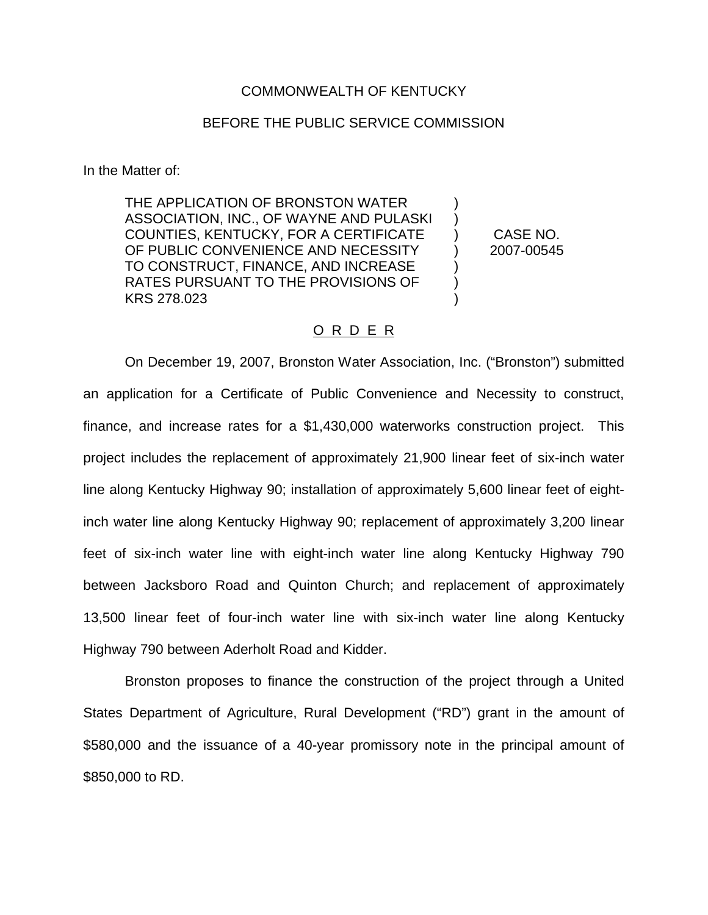#### COMMONWEALTH OF KENTUCKY

### BEFORE THE PUBLIC SERVICE COMMISSION

In the Matter of:

THE APPLICATION OF BRONSTON WATER ASSOCIATION, INC., OF WAYNE AND PULASKI COUNTIES, KENTUCKY, FOR A CERTIFICATE OF PUBLIC CONVENIENCE AND NECESSITY TO CONSTRUCT, FINANCE, AND INCREASE RATES PURSUANT TO THE PROVISIONS OF KRS 278.023 ) )  $\lambda$ ) ) ) )

CASE NO. 2007-00545

#### O R D E R

On December 19, 2007, Bronston Water Association, Inc. ("Bronston") submitted an application for a Certificate of Public Convenience and Necessity to construct, finance, and increase rates for a \$1,430,000 waterworks construction project. This project includes the replacement of approximately 21,900 linear feet of six-inch water line along Kentucky Highway 90; installation of approximately 5,600 linear feet of eightinch water line along Kentucky Highway 90; replacement of approximately 3,200 linear feet of six-inch water line with eight-inch water line along Kentucky Highway 790 between Jacksboro Road and Quinton Church; and replacement of approximately 13,500 linear feet of four-inch water line with six-inch water line along Kentucky Highway 790 between Aderholt Road and Kidder.

Bronston proposes to finance the construction of the project through a United States Department of Agriculture, Rural Development ("RD") grant in the amount of \$580,000 and the issuance of a 40-year promissory note in the principal amount of \$850,000 to RD.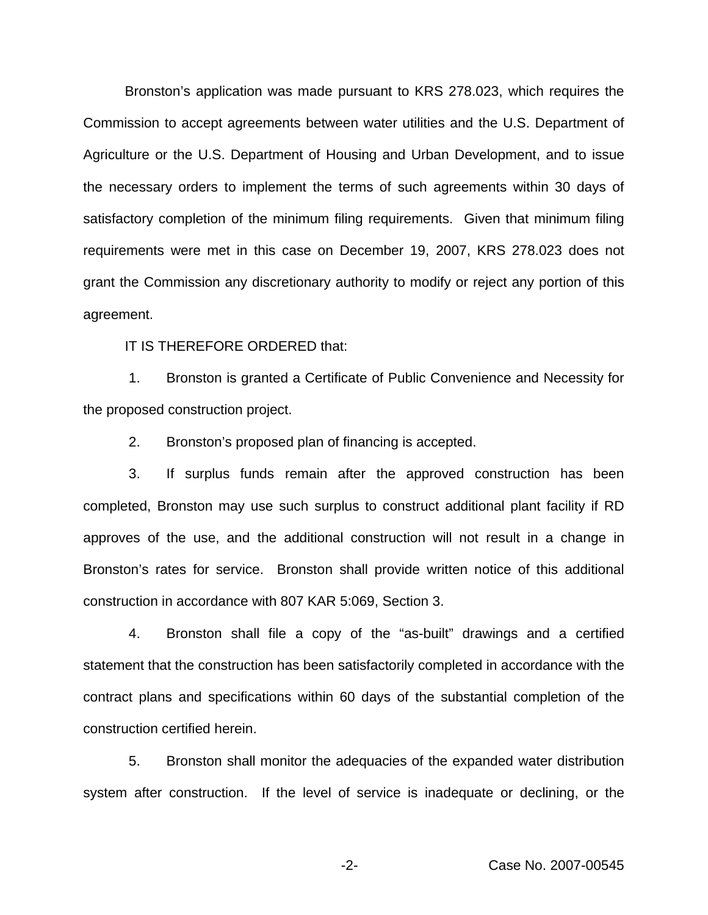Bronston's application was made pursuant to KRS 278.023, which requires the Commission to accept agreements between water utilities and the U.S. Department of Agriculture or the U.S. Department of Housing and Urban Development, and to issue the necessary orders to implement the terms of such agreements within 30 days of satisfactory completion of the minimum filing requirements. Given that minimum filing requirements were met in this case on December 19, 2007, KRS 278.023 does not grant the Commission any discretionary authority to modify or reject any portion of this agreement.

IT IS THEREFORE ORDERED that:

1. Bronston is granted a Certificate of Public Convenience and Necessity for the proposed construction project.

2. Bronston's proposed plan of financing is accepted.

3. If surplus funds remain after the approved construction has been completed, Bronston may use such surplus to construct additional plant facility if RD approves of the use, and the additional construction will not result in a change in Bronston's rates for service. Bronston shall provide written notice of this additional construction in accordance with 807 KAR 5:069, Section 3.

4. Bronston shall file a copy of the "as-built" drawings and a certified statement that the construction has been satisfactorily completed in accordance with the contract plans and specifications within 60 days of the substantial completion of the construction certified herein.

5. Bronston shall monitor the adequacies of the expanded water distribution system after construction. If the level of service is inadequate or declining, or the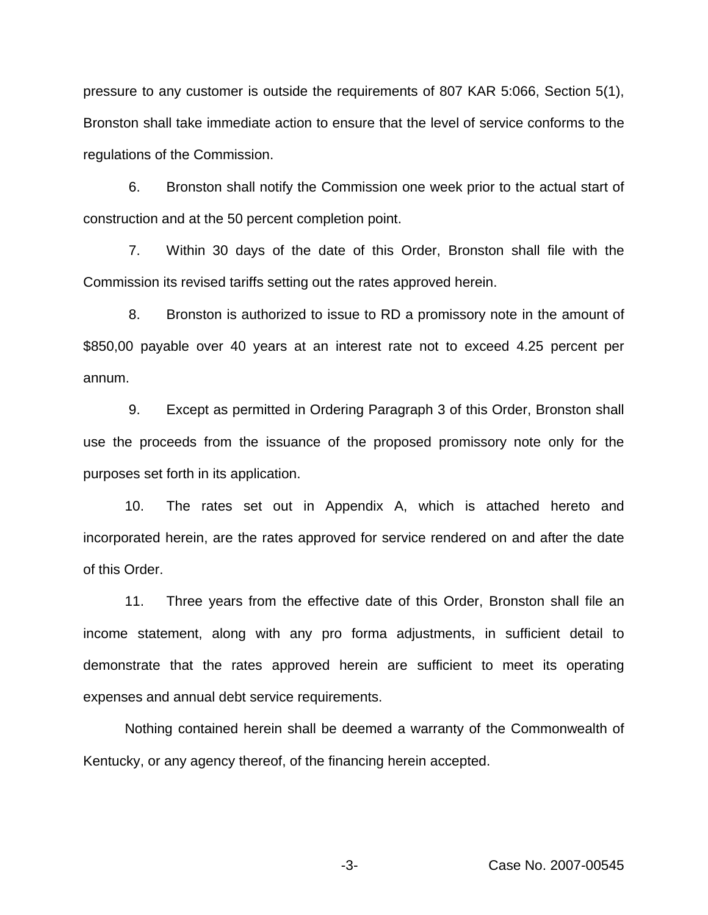pressure to any customer is outside the requirements of 807 KAR 5:066, Section 5(1), Bronston shall take immediate action to ensure that the level of service conforms to the regulations of the Commission.

6. Bronston shall notify the Commission one week prior to the actual start of construction and at the 50 percent completion point.

7. Within 30 days of the date of this Order, Bronston shall file with the Commission its revised tariffs setting out the rates approved herein.

8. Bronston is authorized to issue to RD a promissory note in the amount of \$850,00 payable over 40 years at an interest rate not to exceed 4.25 percent per annum.

9. Except as permitted in Ordering Paragraph 3 of this Order, Bronston shall use the proceeds from the issuance of the proposed promissory note only for the purposes set forth in its application.

10. The rates set out in Appendix A, which is attached hereto and incorporated herein, are the rates approved for service rendered on and after the date of this Order.

11. Three years from the effective date of this Order, Bronston shall file an income statement, along with any pro forma adjustments, in sufficient detail to demonstrate that the rates approved herein are sufficient to meet its operating expenses and annual debt service requirements.

Nothing contained herein shall be deemed a warranty of the Commonwealth of Kentucky, or any agency thereof, of the financing herein accepted.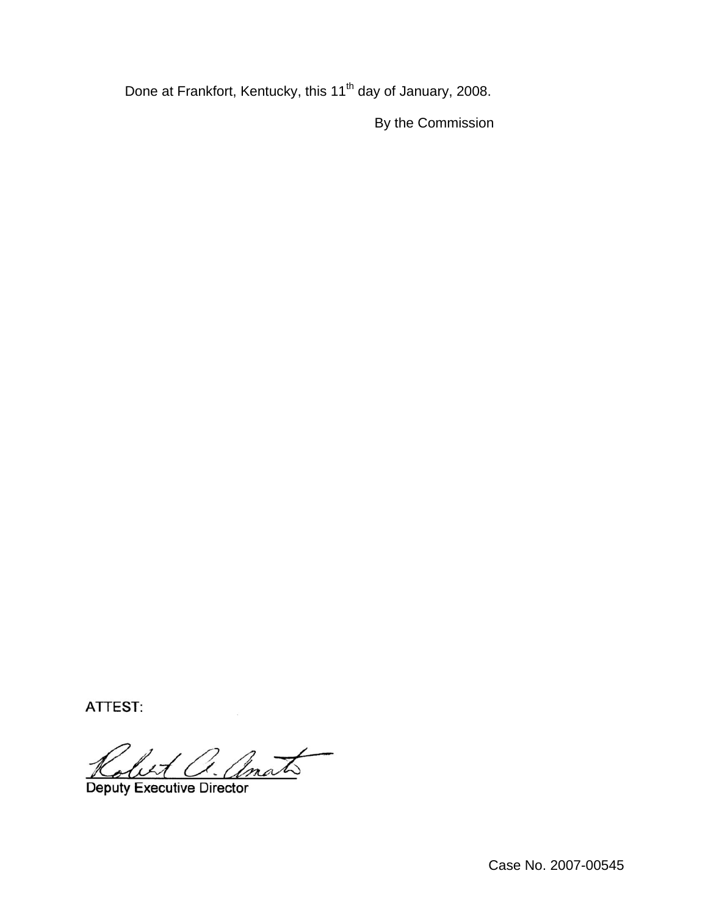Done at Frankfort, Kentucky, this 11<sup>th</sup> day of January, 2008.

By the Commission

ATTEST:

Let a. amato

Deputy Executive Director